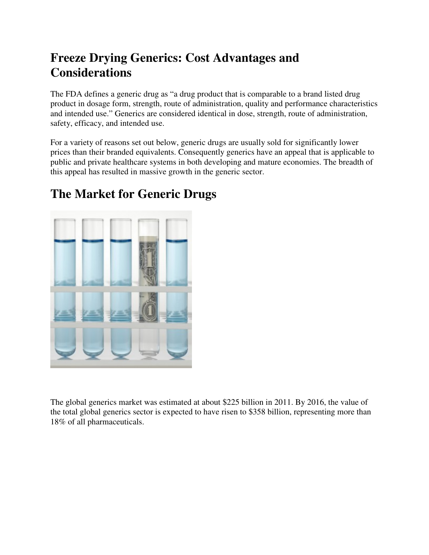## **Freeze Drying Generics: Cost Advantages and Considerations**

The FDA defines a generic drug as "a drug product that is comparable to a brand listed drug product in dosage form, strength, route of administration, quality and performance characteristics and intended use." Generics are considered identical in dose, strength, route of administration, safety, efficacy, and intended use.

For a variety of reasons set out below, generic drugs are usually sold for significantly lower prices than their branded equivalents. Consequently generics have an appeal that is applicable to public and private healthcare systems in both developing and mature economies. The breadth of this appeal has resulted in massive growth in the generic sector.



### **The Market for Generic Drugs**

The global generics market was estimated at about \$225 billion in 2011. By 2016, the value of the total global generics sector is expected to have risen to \$358 billion, representing more than 18% of all pharmaceuticals.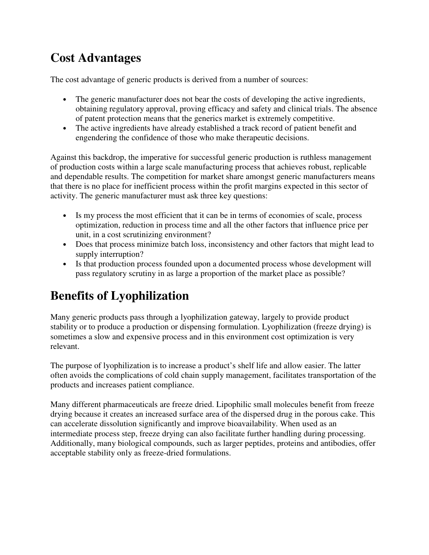## **Cost Advantages**

The cost advantage of generic products is derived from a number of sources:

- The generic manufacturer does not bear the costs of developing the active ingredients, obtaining regulatory approval, proving efficacy and safety and clinical trials. The absence of patent protection means that the generics market is extremely competitive.
- The active ingredients have already established a track record of patient benefit and engendering the confidence of those who make therapeutic decisions.

Against this backdrop, the imperative for successful generic production is ruthless management of production costs within a large scale manufacturing process that achieves robust, replicable and dependable results. The competition for market share amongst generic manufacturers means that there is no place for inefficient process within the profit margins expected in this sector of activity. The generic manufacturer must ask three key questions:

- Is my process the most efficient that it can be in terms of economies of scale, process optimization, reduction in process time and all the other factors that influence price per unit, in a cost scrutinizing environment?
- Does that process minimize batch loss, inconsistency and other factors that might lead to supply interruption?
- Is that production process founded upon a documented process whose development will pass regulatory scrutiny in as large a proportion of the market place as possible?

# **Benefits of Lyophilization**

Many generic products pass through a lyophilization gateway, largely to provide product stability or to produce a production or dispensing formulation. Lyophilization (freeze drying) is sometimes a slow and expensive process and in this environment cost optimization is very relevant.

The purpose of lyophilization is to increase a product's shelf life and allow easier. The latter often avoids the complications of cold chain supply management, facilitates transportation of the products and increases patient compliance.

Many different pharmaceuticals are freeze dried. Lipophilic small molecules benefit from freeze drying because it creates an increased surface area of the dispersed drug in the porous cake. This can accelerate dissolution significantly and improve bioavailability. When used as an intermediate process step, freeze drying can also facilitate further handling during processing. Additionally, many biological compounds, such as larger peptides, proteins and antibodies, offer acceptable stability only as freeze-dried formulations.